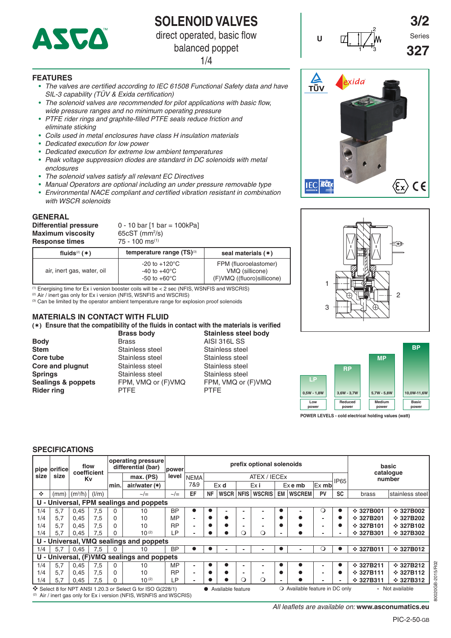

## **SOLENOID VALVES**

direct operated, basic flow

balanced poppet

1/4

#### **FEATURES**

- *The valves are certified according to IEC 61508 Functional Safety data and have SIL-3 capability (TÜV & Exida certification)*
- *The solenoid valves are recommended for pilot applications with basic flow, wide pressure ranges and no minimum operating pressure*
- *PTFE rider rings and graphite-filled PTFE seals reduce friction and eliminate sticking*
- *Coils used in metal enclosures have class H insulation materials*
- *Dedicated execution for low power*
- *Dedicated execution for extreme low ambient temperatures*
- *Peak voltage suppression diodes are standard in DC solenoids with metal enclosures*
- *The solenoid valves satisfy all relevant EC Directives*
- *Manual Operators are optional including an under pressure removable type*
- *Environmental NACE compliant and certified vibration resistant in combination with WSCR solenoids*

#### **GENERAL**

**Differential pressure** 0 - 10 bar [1 bar = 100kPa] **Maximum viscosity** 65cST (mm<sup>2</sup>/s<br> **Response times** 75 - 100 ms<sup>(1)</sup> **Response times** 

65cST (mm<sup>2</sup>/s)

| fluids $(2)$ ( $*$ )       | temperature range (TS) <sup>(3)</sup>                                           | seal materials $(*)$                                                    |  |  |  |  |  |  |
|----------------------------|---------------------------------------------------------------------------------|-------------------------------------------------------------------------|--|--|--|--|--|--|
| air, inert gas, water, oil | $-20$ to $+120^{\circ}$ C<br>-40 to +40 $^{\circ}$ C<br>-50 to +60 $^{\circ}$ C | FPM (fluoroelastomer)<br>VMQ (sillicone)<br>(F)VMQ ((fluoro) sillicone) |  |  |  |  |  |  |

Energising time for Ex i version booster coils will be  $< 2$  sec (NFIS, WSNFIS and WSCRIS)

<sup>(2)</sup> Air / inert gas only for Ex i version (NFIS, WSNFIS and WSCRIS)

<sup>(3)</sup> Can be limited by the operator ambient temperature range for explosion proof solenoids

## **MATERIALS IN CONTACT WITH FLUID**

**() Ensure that the compatibility of the fluids in contact with the materials is verified**

**Body** Brass **Brass** AISI 316L SS **Stem** Stainless steel Stainless steel<br>
Stainless steel Stainless steel Stainless steel **Core tube** Stainless steel **Core and plugnut** Stainless steel Stainless steel **Springs** Stainless steel Stainless steel **Rider ring PTFE PTFE PTFE** 

# **Brass body Stainless steel body**

Sealings & poppets FPM, VMQ or (F)VMQ FPM, VMQ or (F)VMQ



2

**3/2**

**327**





**POWER LEVELS - cold electrical holding values (watt)**

#### **SPECIFICATIONS**

|      | pipe orifice                            | flow<br>coefficient |       |          |                                                                                                                                  |               |                          |           | operating pressure<br>differential (bar) | <b>power</b> |               |           |                                | prefix optional solenoids |             | basic<br>cataloque |                |                 |  |
|------|-----------------------------------------|---------------------|-------|----------|----------------------------------------------------------------------------------------------------------------------------------|---------------|--------------------------|-----------|------------------------------------------|--------------|---------------|-----------|--------------------------------|---------------------------|-------------|--------------------|----------------|-----------------|--|
| size | size                                    | Κv                  |       |          | max.(PS)                                                                                                                         | level         | <b>NEMA</b>              |           |                                          |              | ATEX / IECEX  |           |                                |                           | <b>IP65</b> |                    |                | number          |  |
|      |                                         |                     |       | min.     | air/water $(*)$                                                                                                                  |               | 7&9                      | Ex d      |                                          | Ex i         |               | $Ex$ e mb |                                | $Ex$ mb                   |             |                    |                |                 |  |
| ÷    |                                         | $(mm)$ $(m^3/h)$    | (1/m) |          | $\sim/\equiv$                                                                                                                    | $\sim/\equiv$ | EF                       | <b>NF</b> | <b>WSCR</b>                              | <b>NFIS</b>  | <b>WSCRIS</b> | EM I      | <b>WSCREM</b>                  | PV                        | <b>SC</b>   |                    | brass          | stainless steel |  |
|      | U - Universal, FPM sealings and poppets |                     |       |          |                                                                                                                                  |               |                          |           |                                          |              |               |           |                                |                           |             |                    |                |                 |  |
| 1/4  | 5.7                                     | 0.45                | 7,5   | $\Omega$ | 10                                                                                                                               | <b>BP</b>     | $\bullet$                | ●         |                                          |              |               |           |                                | $\circ$                   | $\bullet$   |                    | $\div$ 327B001 | $\div$ 327B002  |  |
| 1/4  | 5.7                                     | 0.45                | 7,5   | $\Omega$ | 10                                                                                                                               | <b>MP</b>     | ۰                        | ٠         | $\bullet$                                |              | -             |           |                                |                           |             |                    | $\div$ 327B201 | $\div$ 327B202  |  |
| 1/4  | 5.7                                     | 0,45                | 7,5   | $\Omega$ | 10                                                                                                                               | <b>RP</b>     | $\overline{\phantom{0}}$ | ●         |                                          |              |               |           |                                | $\overline{\phantom{a}}$  |             |                    | $\div$ 327B101 | $\div$ 327B102  |  |
| 1/4  | 5.7                                     | 0.45                | 7,5   |          | $10^{(2)}$                                                                                                                       | ∟P.           | ۰                        |           |                                          |              | ∩             |           |                                |                           | -           |                    | $\div$ 327B301 | $\div$ 327B302  |  |
|      |                                         |                     |       |          | U - Universal, VMQ sealings and poppets                                                                                          |               |                          |           |                                          |              |               |           |                                |                           |             |                    |                |                 |  |
| 1/4  | 5.7                                     | 0.45                | 7,5   |          | 10                                                                                                                               | <b>BP</b>     |                          |           |                                          |              |               |           |                                | Ő                         |             |                    | $\div$ 327B011 | $\div$ 327B012  |  |
|      |                                         |                     |       |          | U - Universal, (F)VMQ sealings and poppets                                                                                       |               |                          |           |                                          |              |               |           |                                |                           |             |                    |                |                 |  |
| 1/4  | 5.7                                     | 0.45                | 7,5   | $\Omega$ | 10                                                                                                                               | <b>MP</b>     | $\overline{\phantom{0}}$ |           |                                          |              |               |           |                                |                           |             |                    | $\div$ 327B211 | $\div$ 327B212  |  |
| 1/4  | 5.7                                     | 0,45                | 7,5   | $\Omega$ | 10                                                                                                                               | <b>RP</b>     | $\overline{\phantom{0}}$ | $\bullet$ | $\bullet$                                |              |               |           | $\bullet$                      | $\overline{\phantom{0}}$  |             |                    | $\div$ 327B111 | $\div$ 327B112  |  |
| 1/4  | 5.7                                     | 0.45                | 7,5   | 0        | $10^{(2)}$                                                                                                                       | LP.           | ۰                        |           | $\bullet$                                | Q            | $\circ$       |           |                                |                           | -           |                    | $\div$ 327B311 | $\div$ 327B312  |  |
|      |                                         |                     |       |          | Select 8 for NPT ANSI 1.20.3 or Select G for ISO G(228/1)<br>(2) Air / inert gas only for Ex i version (NFIS, WSNFIS and WSCRIS) |               |                          |           | Available feature                        |              |               |           | O Available feature in DC only |                           |             |                    |                | - Not available |  |

*All leaflets are available on:* **www.asconumatics.eu**

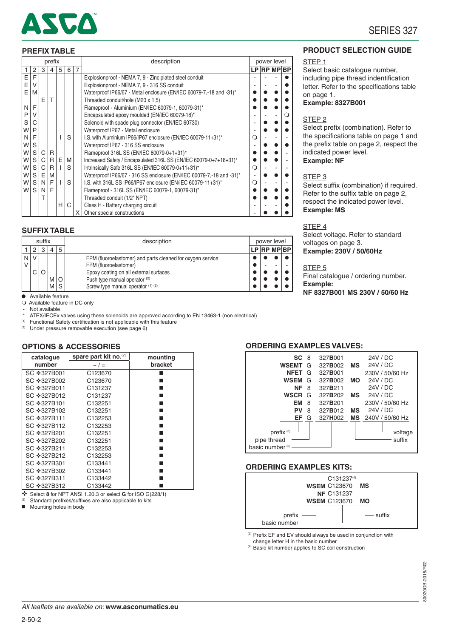

## SERIES 327

#### **PREFIX TABLE**

| prefix |              |   |              |   |   |   | description                                                         |          | power level |             |
|--------|--------------|---|--------------|---|---|---|---------------------------------------------------------------------|----------|-------------|-------------|
|        | 2            | 3 | 4            | 5 | 6 | 7 |                                                                     |          |             | LP RP MP BP |
| E      | F            |   |              |   |   |   | Explosionproof - NEMA 7, 9 - Zinc plated steel conduit              |          |             |             |
| E      | V            |   |              |   |   |   | Explosionproof - NEMA 7, 9 - 316 SS conduit                         |          |             |             |
| E      | м            |   |              |   |   |   | Waterproof IP66/67 - Metal enclosure (EN/IEC 60079-7,-18 and -31)*  |          |             |             |
|        |              | F |              |   |   |   | Threaded conduit/hole (M20 x 1,5)                                   |          |             |             |
| N      | F            |   |              |   |   |   | Flameproof - Aluminium (EN/IEC 60079-1, 60079-31)*                  |          |             |             |
| P      | V            |   |              |   |   |   | Encapsulated epoxy moulded (EN/IEC 60079-18)*                       |          |             | ∩           |
| S      |              |   |              |   |   |   | Solenoid with spade plug connector (EN/IEC 60730)                   |          |             |             |
| W      | P            |   |              |   |   |   | Waterproof IP67 - Metal enclosure                                   |          |             |             |
| N      | F            |   |              |   | S |   | I.S. with Aluminium IP66/IP67 enclosure (EN/IEC 60079-11+31)*       | $\Omega$ |             |             |
| W      | S            |   |              |   |   |   | Waterproof IP67 - 316 SS enclosure                                  |          |             |             |
| W      | S            | C | $\mathsf{R}$ |   |   |   | Flameproof 316L SS (EN/IEC 60079-0+1+31)*                           |          |             |             |
| W      | S            | C | R            | E | M |   | Increased Safety / Encapsulated 316L SS (EN/IEC 60079-0+7+18+31)*   |          |             |             |
| W      | S            | C | R            |   | S |   | Intrinsically Safe 316L SS (EN/IEC 60079-0+11+31)*                  | $\Omega$ |             |             |
| W      | S            | E | M            |   |   |   | Waterproof IP66/67 - 316 SS enclosure (EN/IEC 60079-7,-18 and -31)* |          |             |             |
| W      | S            | N | F            |   | S |   | I.S. with 316L SS IP66/IP67 enclosure (EN/IEC 60079-11+31)*         | ∩        |             |             |
| W      | <sub>S</sub> | N | F            |   |   |   | Flameproof - 316L SS (EN/IEC 60079-1, 60079-31)*                    |          |             |             |
|        |              | т |              |   |   |   | Threaded conduit (1/2" NPT)                                         |          |             |             |
|        |              |   |              | н | C |   | Class H - Battery charging circuit                                  |          |             |             |
|        |              |   |              |   |   | X | Other special constructions                                         |          |             |             |

#### **SUFFIX TABLE**

| suffix |            |   |              |   | description                                                                                                                   |  | power level |  |
|--------|------------|---|--------------|---|-------------------------------------------------------------------------------------------------------------------------------|--|-------------|--|
|        |            | 3 | 4            | 5 |                                                                                                                               |  | LP RP MP BP |  |
|        | 'NIV<br>СI | O |              |   | FPM (fluoroelastomer) and parts cleaned for oxygen service<br>FPM (fluoroelastomer)<br>Epoxy coating on all external surfaces |  |             |  |
|        |            |   | M   O<br>M S |   | Push type manual operator (2)<br>Screw type manual operator (1) (2)                                                           |  |             |  |

#### **PRODUCT SELECTION GUIDE**

#### STEP 1

Select basic catalogue number, including pipe thread indentification letter. Refer to the specifications table on page 1.

**Example: 8327B001**

#### STEP 2

Select prefix (combination). Refer to the specifications table on page 1 and the prefix table on page 2, respect the indicated power level. **Example: NF**

#### STEP 3

Select suffix (combination) if required. Refer to the suffix table on page 2, respect the indicated power level. **Example: MS**

#### STEP<sub>4</sub>

Select voltage. Refer to standard voltages on page 3. **Example: 230V / 50/60Hz**

#### STEP 5

Final catalogue / ordering number. **Example: NF 8327B001 MS 230V / 50/60 Hz**

● Available feature Available feature in DC only

Not available

\* ATEX/IECEx valves using these solenoids are approved according to EN 13463-1 (non electrical)

Functional Safety certification is not applicable with this feature (2) Under pressure removable execution (see page 6)

#### **OPTIONS & ACCESSORIES**

| catalogue   | spare part kit no. <sup>(2)</sup> | mounting |
|-------------|-----------------------------------|----------|
| number      | $\sim$ / $=$                      | bracket  |
| SC ❖327B001 | C <sub>123670</sub>               |          |
| SC ❖327B002 | C <sub>123670</sub>               |          |
| SC ❖327B011 | C <sub>131237</sub>               |          |
| SC ❖327B012 | C <sub>131237</sub>               |          |
| SC ❖327B101 | C <sub>132251</sub>               |          |
| SC ❖327B102 | C <sub>132251</sub>               |          |
| SC ❖327B111 | C <sub>132253</sub>               |          |
| SC ❖327B112 | C <sub>132253</sub>               |          |
| SC ❖327B201 | C <sub>132251</sub>               |          |
| SC ❖327B202 | C <sub>132251</sub>               |          |
| SC ❖327B211 | C <sub>132253</sub>               |          |
| SC ❖327B212 | C <sub>132253</sub>               |          |
| SC ❖327B301 | C <sub>133441</sub>               |          |
| SC ❖327B302 | C <sub>133441</sub>               |          |
| SC ❖327B311 | C133442                           |          |
| SC ❖327B312 | C133442                           |          |

Select **8** for NPT ANSI 1.20.3 or select **G** for ISO G(228/1)

Standard prefixes/suffixes are also applicable to kits

**Mounting holes in body** 

#### **ORDERING EXAMPLES VALVES:**



#### **ORDERING EXAMPLES KITS:**



(3) Prefix EF and EV should always be used in conjunction with change letter H in the basic number

(4) Basic kit number applies to SC coil construction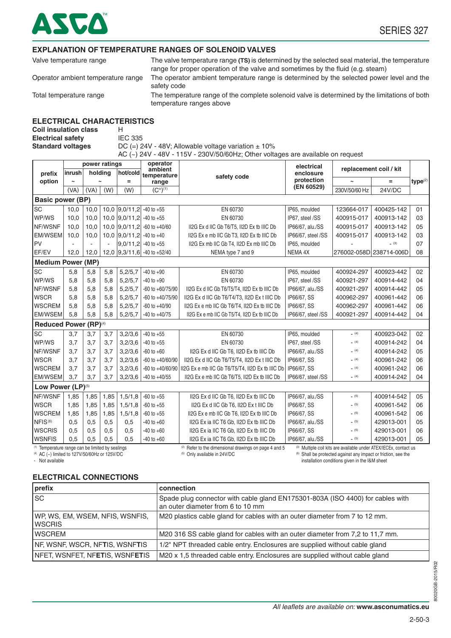

#### **EXPLANATION OF TEMPERATURE RANGES OF SOLENOID VALVES**

Valve temperature range The valve temperature range **(TS)** is determined by the selected seal material, the temperature range for proper operation of the valve and sometimes by the fluid (e.g. steam)

Operator ambient temperature range The operator ambient temperature range is determined by the selected power level and the safety code

Total temperature range The temperature range of the complete solenoid valve is determined by the limitations of both temperature ranges above

#### **ELECTRICAL CHARACTERISTICS**

**Coil insulation class** H **Electrical safety IEC 335** 

**Standard voltages** DC (=) 24V - 48V; Allowable voltage variation  $\pm$  10% AC  $(-)$  24V - 48V - 115V - 230V/50/60Hz; Other voltages are available on request

|                                                  |        | power ratings |      |                              | operator<br>ambient         |                                                                   | electrical              | replacement coil / kit                                            |               |                     |  |  |  |  |  |
|--------------------------------------------------|--------|---------------|------|------------------------------|-----------------------------|-------------------------------------------------------------------|-------------------------|-------------------------------------------------------------------|---------------|---------------------|--|--|--|--|--|
| prefix                                           | inrush | holding       |      | hot/cold                     | temperature                 | safety code                                                       | enclosure<br>protection |                                                                   |               |                     |  |  |  |  |  |
| option                                           |        |               |      | Ξ                            | range                       |                                                                   | (EN 60529)              | 230V/50/60 Hz                                                     | $=$<br>24V/DC | type <sup>(2)</sup> |  |  |  |  |  |
|                                                  | (VA)   | (VA)          | (W)  | (W)                          | $(C°)^{(1)}$                |                                                                   |                         |                                                                   |               |                     |  |  |  |  |  |
| <b>Basic power (BP)</b>                          |        |               |      |                              |                             |                                                                   |                         |                                                                   |               |                     |  |  |  |  |  |
| <b>SC</b>                                        | 10,0   | 10,0          |      | 10,0 $ 9,0/11,2 $ -40 to +55 |                             | EN 60730                                                          | IP65, moulded           | 123664-017                                                        | 400425-142    | 01                  |  |  |  |  |  |
| WP/WS                                            | 10.0   | 10,0          |      | 10,0 $ 9,0/11,2 $ -40 to +55 |                             | EN 60730                                                          | IP67, steel /SS         | 400915-017                                                        | 400913-142    | 03                  |  |  |  |  |  |
| NF/WSNF                                          | 10.0   | 10,0          |      |                              | 10,0 9,0/11,2 -60 to +40/60 | II2G Ex d IIC Gb T6/T5, II2D Ex tb IIIC Db                        | IP66/67, alu./SS        | 400915-017                                                        | 400913-142    | 05                  |  |  |  |  |  |
| EM/WSEM                                          | 10,0   | 10,0          |      | 10,0 9,0/11,2 -40 to +40     |                             | II2G Ex e mb IIC Gb T3, II2D Ex tb IIIC Db                        | IP66/67, steel /SS      | 400915-017                                                        | 400913-142    | 03                  |  |  |  |  |  |
| PV                                               |        |               | ÷.   |                              | $ 9,0/11,2 $ -40 to +55     | II2G Ex mb IIC Gb T4, II2D Ex mb IIIC Db                          | IP65, moulded           |                                                                   | (3)           | 07                  |  |  |  |  |  |
| EF/EV                                            | 12,0   | 12,0          |      |                              | 12,0 9,3/11,6 -40 to +52/40 | NEMA type 7 and 9                                                 | NEMA 4X                 | 276002-058D 238714-006D                                           |               | 08                  |  |  |  |  |  |
| <b>Medium Power (MP)</b>                         |        |               |      |                              |                             |                                                                   |                         |                                                                   |               |                     |  |  |  |  |  |
| SC                                               | 5,8    | 5,8           | 5,8  | 5,2/5,7                      | $-40$ to $+90$              | EN 60730                                                          | IP65. moulded           | 400924-297                                                        | 400923-442    | 02                  |  |  |  |  |  |
| WP/WS                                            | 5,8    | 5,8           | 5,8  | 5,2/5,7                      | $-40$ to $+90$              | EN 60730                                                          | IP67, steel /SS         | 400921-297                                                        | 400914-442    | 04                  |  |  |  |  |  |
| NF/WSNF                                          | 5,8    | 5,8           | 5,8  | 5,2/5,7                      | $-60$ to $+60/75/90$        | II2G Ex d IIC Gb T6/T5/T4, II2D Ex tb IIIC Db<br>IP66/67, alu./SS |                         | 400921-297                                                        | 400914-442    | 05                  |  |  |  |  |  |
| <b>WSCR</b>                                      | 5,8    | 5,8           | 5,8  | 5,2/5,7                      | $-60$ to $+40/75/90$        | II2G Ex d IIC Gb T6/T4/T3, II2D Ex t IIIC Db                      | IP66/67, SS             | 400962-297                                                        | 400961-442    | 06                  |  |  |  |  |  |
| <b>WSCREM</b>                                    | 5,8    | 5,8           | 5,8  | 5,2/5,7                      | $-60$ to $+40/90$           | II2G Ex e mb IIC Gb T6/T4, II2D Ex tb IIIC Db                     | IP66/67, SS             | 400962-297                                                        | 400961-442    | 06                  |  |  |  |  |  |
| <b>EM/WSEM</b>                                   | 5,8    | 5,8           | 5,8  | 5,2/5,7                      | $-40$ to $+40/75$           | II2G Ex e mb IIC Gb T5/T4, II2D Ex tb IIIC Db                     | IP66/67, steel /SS      | 400921-297                                                        | 400914-442    | 04                  |  |  |  |  |  |
| Reduced Power (RP)(4)                            |        |               |      |                              |                             |                                                                   |                         |                                                                   |               |                     |  |  |  |  |  |
| <b>SC</b>                                        | 3,7    | 3,7           | 3,7  | 3,2/3,6                      | $-40$ to $+55$              | EN 60730                                                          | IP65, moulded           | (4)                                                               | 400923-042    | 02                  |  |  |  |  |  |
| WP/WS                                            | 3,7    | 3,7           | 3,7  | 3,2/3,6                      | $-40$ to $+55$              | EN 60730                                                          | IP67, steel /SS         | (4)                                                               | 400914-242    | 04                  |  |  |  |  |  |
| NF/WSNF                                          | 3,7    | 3.7           | 3,7  | 3,2/3,6                      | $-60$ to $+60$              | II2G Ex d IIC Gb T6, II2D Ex tb IIIC Db                           | IP66/67, alu./SS        | (4)                                                               | 400914-242    | 05                  |  |  |  |  |  |
| <b>WSCR</b>                                      | 3.7    | 3,7           | 3,7  | 3,2/3,6                      | $-60$ to $+40/60/90$        | II2G Ex d IIC Gb T6/T5/T4, II2D Ex t IIIC Db                      | IP66/67, SS             | (4)                                                               | 400961-242    | 06                  |  |  |  |  |  |
| <b>WSCREM</b>                                    | 3,7    | 3,7           | 3,7  | 3,2/3,6                      | $-60$ to $+40/60/90$        | II2G Ex e mb IIC Gb T6/T5/T4, II2D Ex tb IIIC Db                  | IP66/67, SS             | (4)                                                               | 400961-242    | 06                  |  |  |  |  |  |
| <b>EM/WSEM</b>                                   | 3,7    | 3.7           | 3.7  | 3,2/3,6                      | $-40$ to $+40/55$           | II2G Ex e mb IIC Gb T6/T5, II2D Ex tb IIIC Db                     | IP66/67, steel /SS      | (4)                                                               | 400914-242    | 04                  |  |  |  |  |  |
| Low Power (LP)(5)                                |        |               |      |                              |                             |                                                                   |                         |                                                                   |               |                     |  |  |  |  |  |
| NF/WSNF                                          | 1,85   | 1,85          | 1,85 | 1,5/1,8                      | $-60$ to $+55$              | II2G Ex d IIC Gb T6, II2D Ex tb IIIC Db                           | IP66/67, alu./SS        | (5)                                                               | 400914-542    | 05                  |  |  |  |  |  |
| <b>WSCR</b>                                      | 1,85   | 1,85          | 1,85 | 1,5/1,8                      | $-60$ to $+55$              | II2G Ex d IIC Gb T6, II2D Ex t IIIC Db                            | IP66/67, SS             | (5)                                                               | 400961-542    | 06                  |  |  |  |  |  |
| <b>WSCREM</b>                                    | 1,85   | 1,85          | 1,85 | 1,5/1,8                      | $-60$ to $+55$              | II2G Ex e mb IIC Gb T6, II2D Ex tb IIIC Db                        | IP66/67, SS             | (5)                                                               | 400961-542    | 06                  |  |  |  |  |  |
| NFIS <sup>(6)</sup>                              | 0,5    | 0,5           | 0,5  | 0,5                          | $-40$ to $+60$              | II2G Ex ia IIC T6 Gb, II2D Ex tb IIIC Db                          | IP66/67, alu./SS        | (5)                                                               | 429013-001    | 05                  |  |  |  |  |  |
| <b>WSCRIS</b>                                    | 0.5    | 0,5           | 0,5  | 0,5                          | $-40$ to $+60$              | II2G Ex ia IIC T6 Gb. II2D Ex tb IIIC Db                          | IP66/67, SS             | (5)                                                               | 429013-001    | 06                  |  |  |  |  |  |
| <b>WSNFIS</b>                                    | 0,5    | 0,5           | 0,5  | 0,5                          | $-40$ to $+60$              | II2G Ex ia IIC T6 Gb, II2D Ex tb IIIC Db                          | IP66/67, alu./SS        | (5)                                                               | 429013-001    | 05                  |  |  |  |  |  |
| (1) Temperature range can be limited by sealings |        |               |      |                              |                             | <sup>(2)</sup> Refer to the dimensional drawings on page 4 and 5  |                         | (3) Multiple coil kits are available under ATEX/IECEx, contact us |               |                     |  |  |  |  |  |

(1) Temperature range can be limited by sealings (4) AC (~) limited to 127V/50/60Hz or 125V/DC

- Not available

#### **ELECTRICAL CONNECTIONS**

| prefix                                            | connection                                                                                                          |
|---------------------------------------------------|---------------------------------------------------------------------------------------------------------------------|
| lsc                                               | Spade plug connector with cable gland EN175301-803A (ISO 4400) for cables with<br>an outer diameter from 6 to 10 mm |
| WP, WS, EM, WSEM, NFIS, WSNFIS,<br><b>IWSCRIS</b> | M20 plastics cable gland for cables with an outer diameter from 7 to 12 mm.                                         |
| IWSCREM                                           | M20 316 SS cable gland for cables with an outer diameter from 7,2 to 11,7 mm.                                       |
| NF, WSNF, WSCR, NFTIS, WSNFTIS                    | 1/2" NPT threaded cable entry. Enclosures are supplied without cable gland                                          |
| NFET, WSNFET, NF <b>ET</b> IS, WSNF <b>ET</b> IS  | M20 x 1,5 threaded cable entry. Enclosures are supplied without cable gland                                         |

(5) Only available in 24V/DC

(6) Shall be protected against any impact or friction, see the installation conditions given in the I&M sheet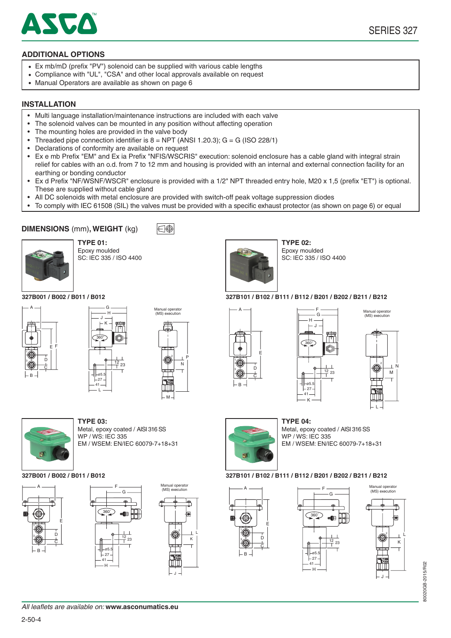

## **ADDITIONAL OPTIONS**

- Ex mb/mD (prefix "PV") solenoid can be supplied with various cable lengths
- Compliance with "UL", "CSA" and other local approvals available on request
- Manual Operators are available as shown on page 6

#### **INSTALLATION**

- Multi language installation/maintenance instructions are included with each valve
- The solenoid valves can be mounted in any position without affecting operation
- The mounting holes are provided in the valve body
- Threaded pipe connection identifier is  $8 = \text{NPT}$  (ANSI 1.20.3);  $G = G$  (ISO 228/1)
- • Declarations of conformity are available on request
- Ex e mb Prefix "EM" and Ex ia Prefix "NFIS/WSCRIS" execution: solenoid enclosure has a cable gland with integral strain relief for cables with an o.d. from 7 to 12 mm and housing is provided with an internal and external connection facility for an earthing or bonding conductor
- Ex d Prefix "NF/WSNF/WSCR" enclosure is provided with a 1/2" NPT threaded entry hole, M20 x 1,5 (prefix "ET") is optional. These are supplied without cable gland
- All DC solenoids with metal enclosure are provided with switch-off peak voltage suppression diodes

l∈l⊕

 • To comply with IEC 61508 (SIL) the valves must be provided with a specific exhaust protector (as shown on page 6) or equal

## **DIMENSIONS** (mm)**, WEIGHT** (kg)



**TYPE 01: TYPE 02:** Epoxy moulded SC: IEC 335 / ISO 4400



A

E D C

3

B



WP / WS: IEC 335

Metal, epoxy coated / AISI 316 SS

F  $\overline{G}$ 

 $12$ 

 $23$ 

EM / WSEM: EN/IEC 60079-7+18+31



# SC: IEC 335 / ISO 4400

**327B001 / B002 / B011 / B012 327B101 / B102 / B111 / B112 / B201 / B202 / B211 / B212**

Epoxy moulded







Manual operator (MS) execution

L



1 S

Metal, epoxy coated / AISI 316 SS WP / WS: IEC 335 EM / WSEM: EN/IEC 60079-7+18+31

#### **327B001 / B002 / B011 / B012 327B101 / B102 / B111 / B112 / B201 / B202 / B211 / B212**



L  $\mathbf{r}$ 

J

Manual operato (MS) execution





Н

05.5 27 41

360˚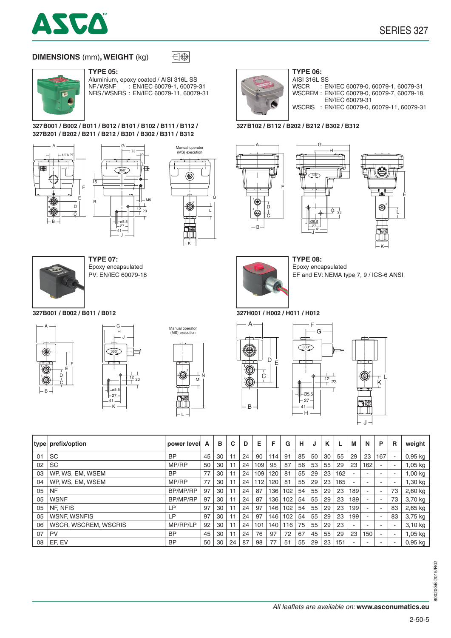

## **DIMENSIONS** (mm)**, WEIGHT** (kg)



Aluminium, epoxy coated / AISI 316L SS<br>NF/WSNF : EN/IEC 60079-1, 60079-: EN/IEC 60079-1, 60079-31 NFIS / WSNFIS : EN/IEC 60079-11, 60079-31

 $\overline{\bigoplus}$ 

#### **327B001 / B002 / B011 / B012 / B101 / B102 / B111 / B112 / 327B201 / B202 / B211 / B212 / B301 / B302 / B311 / B312**

G







Epoxy encapsulated PV: EN/IEC 60079-18

J 41  $27$ 

**327B001 / B002 / B011 / B012 327H001 / H002 / H011 / H012**







K

2  $\overline{M}$  $\top$ L



AISI 316L SS<br>WSCR : El : EN/IEC 60079-0, 60079-1, 60079-31 WSCREM : EN/IEC 60079-0, 60079-7, 60079-18, EN/IEC 60079-31 WSCRIS : EN/IEC 60079-0, 60079-11, 60079-31

#### **327B102 / B112 / B202 / B212 / B302 / B312**



M  $\overline{L}$ 



2

E

L



Epoxy encapsulated EF and EV: NEMA type 7, 9 / ICS-6 ANSI

F - G

Ø5.5  $\frac{27}{7}$ 41

360°

J

Н

 $\Lambda$ <sup>1</sup>

 $|-@5,5$  $-27$ 

360°





|    | type prefix/option   | power level     | A  | в  | C  | D  | Е   | F   | G   | н  | J  | κ  |     | M   | N                        | P                        | R                        | weight    |
|----|----------------------|-----------------|----|----|----|----|-----|-----|-----|----|----|----|-----|-----|--------------------------|--------------------------|--------------------------|-----------|
| 01 | <b>SC</b>            | BP              | 45 | 30 | 11 | 24 | 90  | 14  | 91  | 85 | 50 | 30 | 55  | 29  | 23                       | 167                      | $\sim$                   | $0,95$ kg |
| 02 | SC                   | MP/RP           | 50 | 30 |    | 24 | 109 | 95  | 87  | 56 | 53 | 55 | 29  | 23  | 162                      |                          | ۰                        | l,05 kg   |
| 03 | WP, WS, EM, WSEM     | BP              | 77 | 30 |    | 24 | 109 | 120 | 81  | 55 | 29 | 23 | 162 |     |                          |                          | $\overline{\phantom{a}}$ | 1,00 kg   |
| 04 | WP, WS, EM, WSEM     | MP/RP           | 77 | 30 | 11 | 24 | 112 | 120 | 81  | 55 | 29 | 23 | 165 | ٠   | -                        |                          | $\overline{\phantom{a}}$ | ,30 kg    |
| 05 | <b>NF</b>            | <b>BP/MP/RP</b> | 97 | 30 |    | 24 | 87  | 136 | 102 | 54 | 55 | 29 | 23  | 189 | $\overline{\phantom{a}}$ |                          | 73                       | $2,60$ kg |
| 05 | <b>WSNF</b>          | <b>BP/MP/RP</b> | 97 | 30 |    | 24 | 87  | 136 | 102 | 54 | 55 | 29 | 23  | 189 | ۰                        | $\overline{\phantom{a}}$ | 73                       | 3,70 kg   |
| 05 | NF, NFIS             | LP.             | 97 | 30 |    | 24 | 97  | 146 | 102 | 54 | 55 | 29 | 23  | 199 | ٠                        |                          | 83                       | $2,65$ kg |
| 05 | <b>WSNF, WSNFIS</b>  | LР              | 97 | 30 |    | 24 | 97  | 146 | 102 | 54 | 55 | 29 | 23  | 199 | $\sim$                   | $\overline{\phantom{a}}$ | 83                       | 3,75 kg   |
| 06 | WSCR, WSCREM, WSCRIS | MP/RP/LP        | 92 | 30 |    | 24 | 101 | 140 | 116 | 75 | 55 | 29 | 23  |     |                          |                          | $\overline{\phantom{a}}$ | 3,10 kg   |
| 07 | PV                   | BP              | 45 | 30 | 11 | 24 | 76  | 97  | 72  | 67 | 45 | 55 | 29  | 23  | 150                      |                          | $\overline{\phantom{a}}$ | $1,05$ kg |
| 08 | EF, EV               | BP              | 50 | 30 | 24 | 87 | 98  | 77  | 51  | 55 | 29 | 23 | 151 |     |                          |                          | $\overline{\phantom{a}}$ | $0,95$ kg |